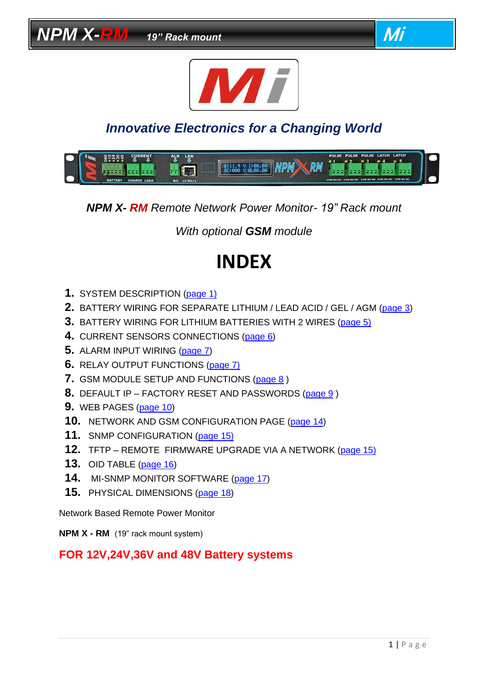

# *Innovative Electronics for a Changing World*



*NPM X- RM Remote Network Power Monitor- 19" Rack mount*

*With optional GSM module*

# **INDEX**

- **1.** SYSTEM DESCRIPTION [\(page](#page-1-0) 1)
- **2.** BATTERY WIRING FOR SEPARATE LITHIUM / LEAD ACID / GEL / AGM [\(page 3\)](#page-2-0)
- **3.** BATTERY WIRING FOR LITHIUM BATTERIES WITH 2 WIRES [\(page 5\)](#page-4-0)
- **4.** CURRENT SENSORS CONNECTIONS [\(page 6\)](#page-5-0)
- **5.** ALARM INPUT WIRING [\(page](#page-6-0) 7)
- **6.** RELAY OUTPUT FUNCTIONS [\(page 7\)](#page-6-1)
- **7.** GSM MODULE SETUP AND FUNCTIONS [\(page](#page-7-0) 8 )
- **8.** DEFAULT IP FACTORY RESET AND PASSWORDS [\(page](#page-8-0) 9 )
- **9.** WEB PAGES [\(page 10\)](#page-9-0)
- **10.** NETWORK AND GSM CONFIGURATION PAGE [\(page 14\)](#page-13-0)
- **11.** SNMP CONFIGURATION [\(page 15\)](#page-14-0)
- **12.** TFTP REMOTE FIRMWARE UPGRADE VIA A NETWORK [\(page 15\)](#page-14-1)
- **13.** OID TABLE [\(page 16\)](#page-15-0)
- **14.** MI-SNMP MONITOR SOFTWARE [\(page 17\)](#page-16-0)
- **15.** PHYSICAL DIMENSIONS [\(page 18\)](#page-17-0)

Network Based Remote Power Monitor

**NPM X - RM** (19" rack mount system)

#### **FOR 12V,24V,36V and 48V Battery systems**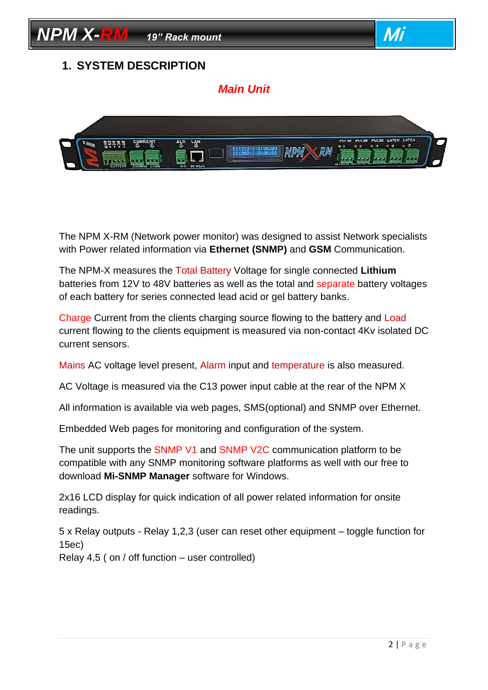<span id="page-1-0"></span>

The NPM X-RM (Network power monitor) was designed to assist Network specialists with Power related information via **Ethernet (SNMP)** and **GSM** Communication.

The NPM-X measures the Total Battery Voltage for single connected **Lithium**  batteries from 12V to 48V batteries as well as the total and separate battery voltages of each battery for series connected lead acid or gel battery banks.

Charge Current from the clients charging source flowing to the battery and Load current flowing to the clients equipment is measured via non-contact 4Kv isolated DC current sensors.

Mains AC voltage level present, Alarm input and temperature is also measured.

AC Voltage is measured via the C13 power input cable at the rear of the NPM X

All information is available via web pages, SMS(optional) and SNMP over Ethernet.

Embedded Web pages for monitoring and configuration of the system.

The unit supports the SNMP V1 and SNMP V2C communication platform to be compatible with any SNMP monitoring software platforms as well with our free to download **Mi-SNMP Manager** software for Windows.

2x16 LCD display for quick indication of all power related information for onsite readings.

5 x Relay outputs - Relay 1,2,3 (user can reset other equipment – toggle function for 15ec)

Relay 4,5 ( on / off function – user controlled)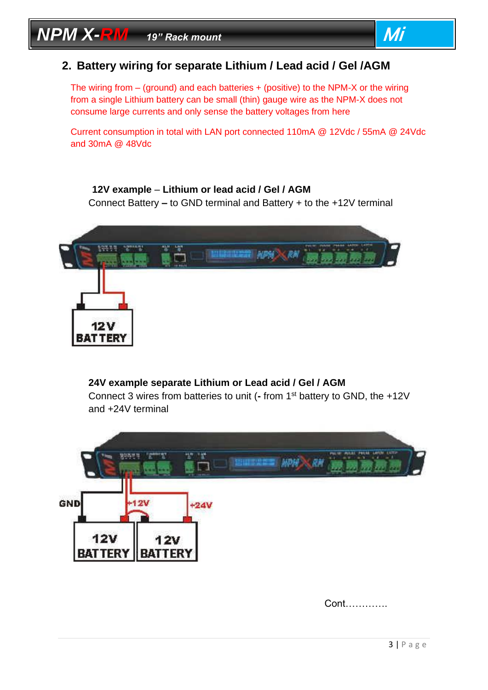

#### <span id="page-2-0"></span>**2. Battery wiring for separate Lithium / Lead acid / Gel /AGM**

The wiring from – (ground) and each batteries + (positive) to the NPM-X or the wiring from a single Lithium battery can be small (thin) gauge wire as the NPM-X does not consume large currents and only sense the battery voltages from here

Current consumption in total with LAN port connected 110mA @ 12Vdc / 55mA @ 24Vdc and 30mA @ 48Vdc

#### **12V example** – **Lithium or lead acid / Gel / AGM**

Connect Battery **–** to GND terminal and Battery + to the +12V terminal



#### **24V example separate Lithium or Lead acid / Gel / AGM**

Connect 3 wires from batteries to unit (**-** from 1st battery to GND, the +12V and +24V terminal



Cont………….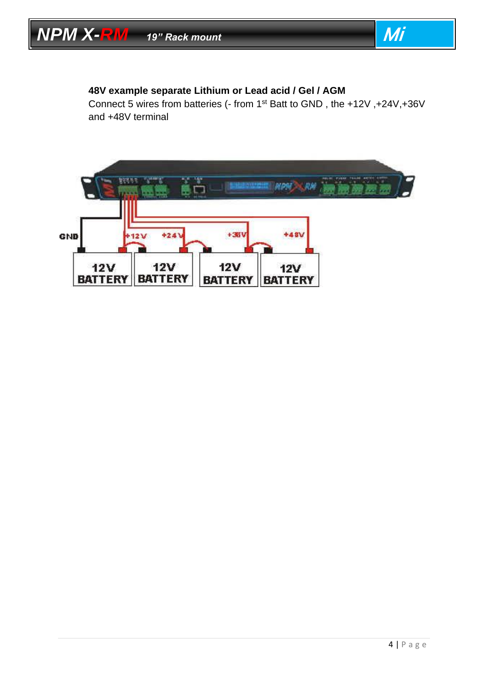

#### **48V example separate Lithium or Lead acid / Gel / AGM**

Connect 5 wires from batteries (- from 1st Batt to GND , the +12V ,+24V,+36V and +48V terminal

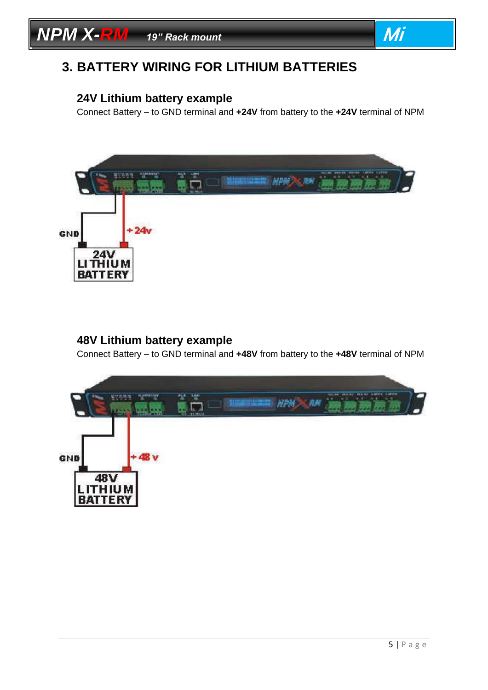



## <span id="page-4-0"></span>**3. BATTERY WIRING FOR LITHIUM BATTERIES**

#### **24V Lithium battery example**

Connect Battery – to GND terminal and **+24V** from battery to the **+24V** terminal of NPM



#### **48V Lithium battery example**

Connect Battery – to GND terminal and **+48V** from battery to the **+48V** terminal of NPM

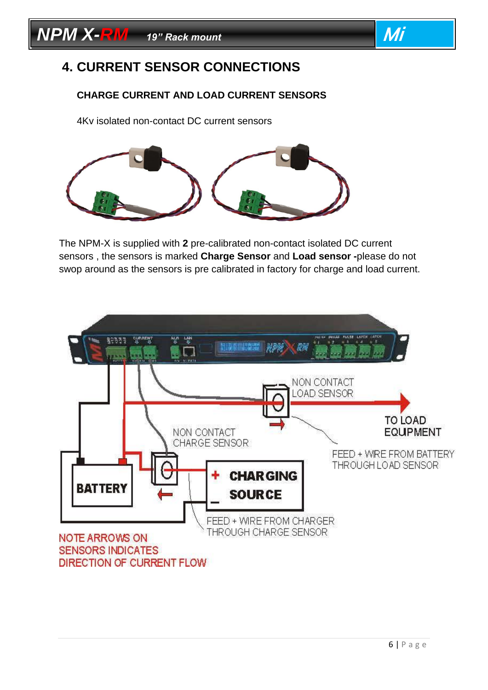

## <span id="page-5-0"></span>**4. CURRENT SENSOR CONNECTIONS**

#### **CHARGE CURRENT AND LOAD CURRENT SENSORS**

4Kv isolated non-contact DC current sensors



The NPM-X is supplied with **2** pre-calibrated non-contact isolated DC current sensors , the sensors is marked **Charge Sensor** and **Load sensor -**please do not swop around as the sensors is pre calibrated in factory for charge and load current.

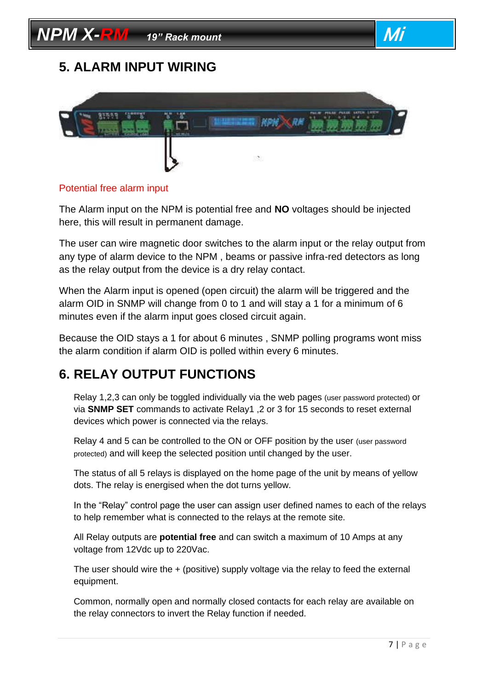# **NPM X-RM** *19"* Rack mount **Mi**

## <span id="page-6-0"></span>**5. ALARM INPUT WIRING**



#### Potential free alarm input

The Alarm input on the NPM is potential free and **NO** voltages should be injected here, this will result in permanent damage.

The user can wire magnetic door switches to the alarm input or the relay output from any type of alarm device to the NPM , beams or passive infra-red detectors as long as the relay output from the device is a dry relay contact.

When the Alarm input is opened (open circuit) the alarm will be triggered and the alarm OID in SNMP will change from 0 to 1 and will stay a 1 for a minimum of 6 minutes even if the alarm input goes closed circuit again.

Because the OID stays a 1 for about 6 minutes , SNMP polling programs wont miss the alarm condition if alarm OID is polled within every 6 minutes.

## <span id="page-6-1"></span>**6. RELAY OUTPUT FUNCTIONS**

Relay 1,2,3 can only be toggled individually via the web pages (user password protected) or via **SNMP SET** commands to activate Relay1 ,2 or 3 for 15 seconds to reset external devices which power is connected via the relays.

Relay 4 and 5 can be controlled to the ON or OFF position by the user (user password protected) and will keep the selected position until changed by the user.

The status of all 5 relays is displayed on the home page of the unit by means of yellow dots. The relay is energised when the dot turns yellow.

In the "Relay" control page the user can assign user defined names to each of the relays to help remember what is connected to the relays at the remote site.

All Relay outputs are **potential free** and can switch a maximum of 10 Amps at any voltage from 12Vdc up to 220Vac.

The user should wire the + (positive) supply voltage via the relay to feed the external equipment.

Common, normally open and normally closed contacts for each relay are available on the relay connectors to invert the Relay function if needed.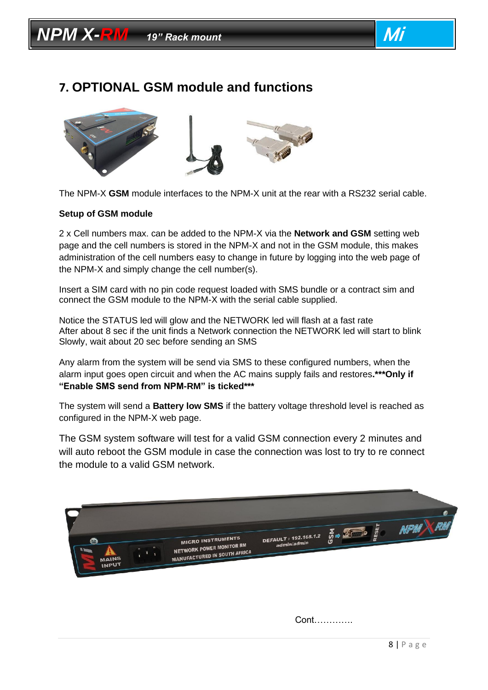



### <span id="page-7-0"></span>**7. OPTIONAL GSM module and functions**



The NPM-X **GSM** module interfaces to the NPM-X unit at the rear with a RS232 serial cable.

#### **Setup of GSM module**

2 x Cell numbers max. can be added to the NPM-X via the **Network and GSM** setting web page and the cell numbers is stored in the NPM-X and not in the GSM module, this makes administration of the cell numbers easy to change in future by logging into the web page of the NPM-X and simply change the cell number(s).

Insert a SIM card with no pin code request loaded with SMS bundle or a contract sim and connect the GSM module to the NPM-X with the serial cable supplied.

Notice the STATUS led will glow and the NETWORK led will flash at a fast rate After about 8 sec if the unit finds a Network connection the NETWORK led will start to blink Slowly, wait about 20 sec before sending an SMS

Any alarm from the system will be send via SMS to these configured numbers, when the alarm input goes open circuit and when the AC mains supply fails and restores**.\*\*\*Only if "Enable SMS send from NPM-RM" is ticked\*\*\*** 

The system will send a **Battery low SMS** if the battery voltage threshold level is reached as configured in the NPM-X web page.

The GSM system software will test for a valid GSM connection every 2 minutes and will auto reboot the GSM module in case the connection was lost to try to re connect the module to a valid GSM network.



Cont………….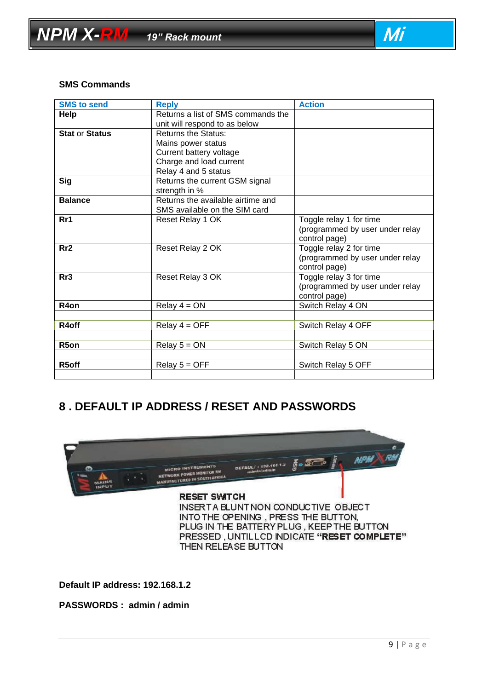

#### **SMS Commands**

| <b>SMS to send</b>    | <b>Reply</b>                       | <b>Action</b>                   |
|-----------------------|------------------------------------|---------------------------------|
| Help                  | Returns a list of SMS commands the |                                 |
|                       | unit will respond to as below      |                                 |
| <b>Stat or Status</b> | <b>Returns the Status:</b>         |                                 |
|                       | Mains power status                 |                                 |
|                       | Current battery voltage            |                                 |
|                       | Charge and load current            |                                 |
|                       | Relay 4 and 5 status               |                                 |
| <b>Sig</b>            | Returns the current GSM signal     |                                 |
|                       | strength in %                      |                                 |
| <b>Balance</b>        | Returns the available airtime and  |                                 |
|                       | SMS available on the SIM card      |                                 |
| Rr1                   | Reset Relay 1 OK                   | Toggle relay 1 for time         |
|                       |                                    | (programmed by user under relay |
|                       |                                    | control page)                   |
| Rr2                   | Reset Relay 2 OK                   | Toggle relay 2 for time         |
|                       |                                    | (programmed by user under relay |
|                       |                                    | control page)                   |
| Rr3                   | Reset Relay 3 OK                   | Toggle relay 3 for time         |
|                       |                                    | (programmed by user under relay |
|                       |                                    | control page)                   |
| R <sub>4</sub> on     | Relay $4 = ON$                     | Switch Relay 4 ON               |
|                       |                                    |                                 |
| R4off                 | Relay $4 = OFF$                    | Switch Relay 4 OFF              |
|                       |                                    |                                 |
| R <sub>5</sub> on     | Relay $5 = ON$                     | Switch Relay 5 ON               |
|                       |                                    |                                 |
| R5off                 | Relay $5 = OFF$                    | Switch Relay 5 OFF              |
|                       |                                    |                                 |

#### <span id="page-8-0"></span>**8 . DEFAULT IP ADDRESS / RESET AND PASSWORDS**



**Default IP address: 192.168.1.2**

**PASSWORDS : admin / admin**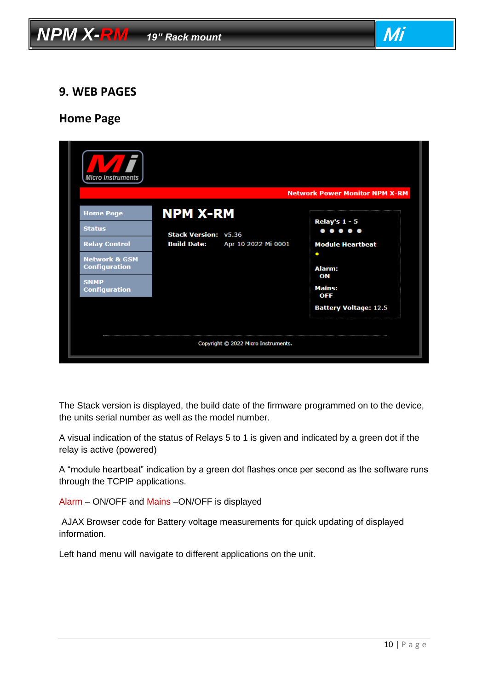

#### <span id="page-9-0"></span>**9. WEB PAGES**

#### **Home Page**

| Micro Instruments                                                                                                                                    |                                                                                             | <b>Network Power Monitor NPM X-RM</b>                                                                                                                                           |
|------------------------------------------------------------------------------------------------------------------------------------------------------|---------------------------------------------------------------------------------------------|---------------------------------------------------------------------------------------------------------------------------------------------------------------------------------|
| <b>Home Page</b><br><b>Status</b><br><b>Relay Control</b><br><b>Network &amp; GSM</b><br><b>Configuration</b><br><b>SNMP</b><br><b>Configuration</b> | <b>NPM X-RM</b><br><b>Stack Version: v5.36</b><br><b>Build Date:</b><br>Apr 10 2022 Mi 0001 | Relay's $1 - 5$<br>$\bullet\bullet\bullet\bullet\bullet$<br><b>Module Heartbeat</b><br>$\bullet$<br>Alarm:<br>ON<br><b>Mains:</b><br><b>OFF</b><br><b>Battery Voltage: 12.5</b> |
|                                                                                                                                                      | Copyright © 2022 Micro Instruments.                                                         |                                                                                                                                                                                 |

The Stack version is displayed, the build date of the firmware programmed on to the device, the units serial number as well as the model number.

A visual indication of the status of Relays 5 to 1 is given and indicated by a green dot if the relay is active (powered)

A "module heartbeat" indication by a green dot flashes once per second as the software runs through the TCPIP applications.

Alarm – ON/OFF and Mains –ON/OFF is displayed

AJAX Browser code for Battery voltage measurements for quick updating of displayed information.

Left hand menu will navigate to different applications on the unit.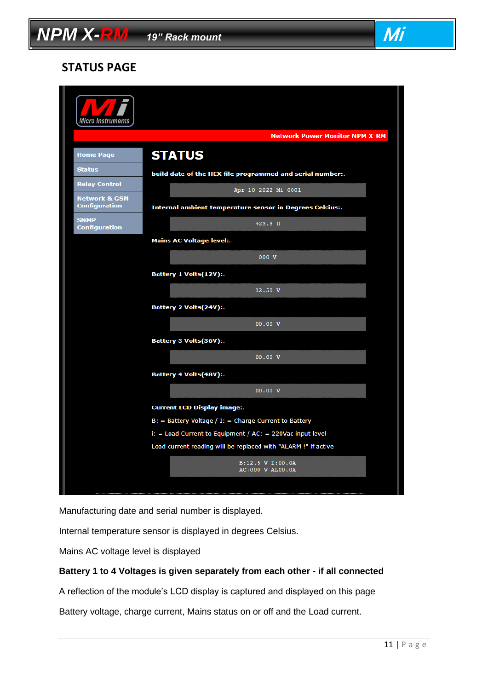# **NPM X-RM** *19"* Rack mount **Mi Mi Mi**

#### **STATUS PAGE**

| <b>Micro Instruments</b>                         |                                                                |  |
|--------------------------------------------------|----------------------------------------------------------------|--|
|                                                  | <b>Network Power Monitor NPM X-RM</b>                          |  |
| <b>Home Page</b>                                 | <b>STATUS</b>                                                  |  |
| <b>Status</b>                                    | build date of the HEX file programmed and serial number:.      |  |
| <b>Relay Control</b>                             | Apr 10 2022 Mi 0001                                            |  |
| <b>Network &amp; GSM</b><br><b>Configuration</b> | Internal ambient temperature sensor in Degrees Celcius:.       |  |
| <b>SNMP</b><br><b>Configuration</b>              | $+23.8$ D                                                      |  |
|                                                  | <b>Mains AC Voltage level:.</b>                                |  |
|                                                  | 000 V                                                          |  |
|                                                  | Battery 1 Volts(12V):.                                         |  |
|                                                  | 12.50 V                                                        |  |
|                                                  | Battery 2 Volts(24V):.                                         |  |
|                                                  | 00.00V                                                         |  |
|                                                  | Battery 3 Volts(36V):.                                         |  |
|                                                  | 00.00V                                                         |  |
|                                                  | Battery 4 Volts(48V):.                                         |  |
|                                                  | 00.00V                                                         |  |
|                                                  | <b>Current LCD Display image:.</b>                             |  |
|                                                  | $B:$ = Battery Voltage / I: = Charge Current to Battery        |  |
|                                                  | $i:$ = Load Current to Equipment / AC: = 220Vac input level    |  |
|                                                  | Load current reading will be replaced with "ALARM !" if active |  |
|                                                  | B:12.5 V I:00.0A<br>AC:000 V AL00.0A                           |  |
|                                                  |                                                                |  |

Manufacturing date and serial number is displayed.

Internal temperature sensor is displayed in degrees Celsius.

Mains AC voltage level is displayed

#### **Battery 1 to 4 Voltages is given separately from each other - if all connected**

A reflection of the module's LCD display is captured and displayed on this page

Battery voltage, charge current, Mains status on or off and the Load current.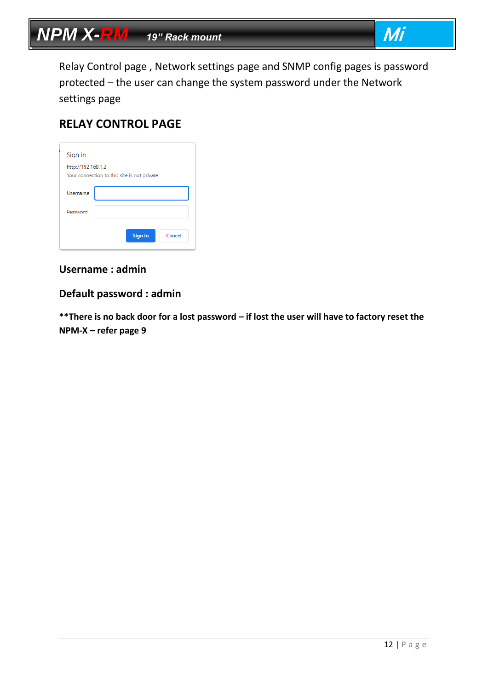Relay Control page , Network settings page and SNMP config pages is password protected – the user can change the system password under the Network settings page

### **RELAY CONTROL PAGE**

| Sign in            |                                             |
|--------------------|---------------------------------------------|
| http://192.168.1.2 | Your connection to this site is not private |
| Username           |                                             |
| Password           |                                             |
|                    | <b>Sign in</b><br>Cancel                    |

#### **Username : admin**

#### **Default password : admin**

**\*\*There is no back door for a lost password – if lost the user will have to factory reset the NPM-X – refer page 9**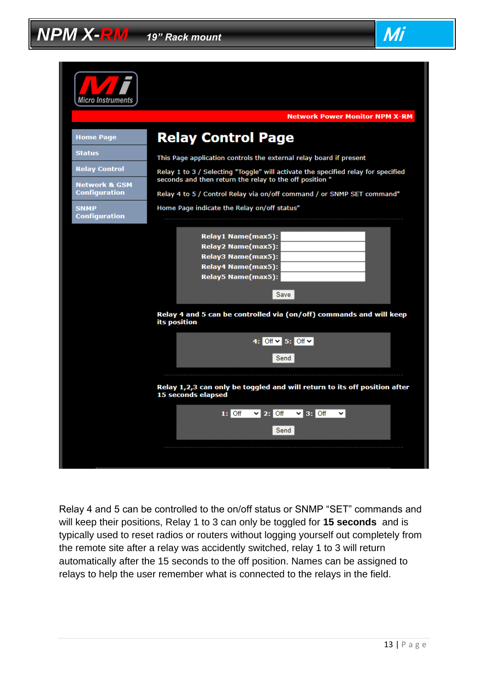

Relay 4 and 5 can be controlled to the on/off status or SNMP "SET" commands and will keep their positions, Relay 1 to 3 can only be toggled for **15 seconds** and is typically used to reset radios or routers without logging yourself out completely from the remote site after a relay was accidently switched, relay 1 to 3 will return automatically after the 15 seconds to the off position. Names can be assigned to relays to help the user remember what is connected to the relays in the field.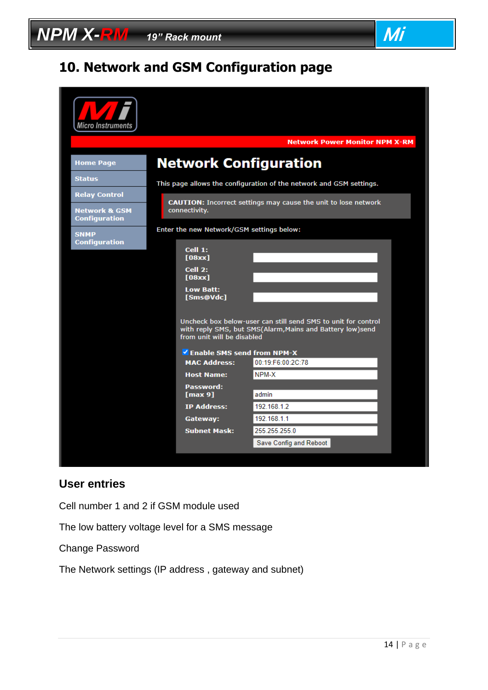# $NPM$   $X$ - $\overline{RM}$   $\rightarrow$  19" Rack mount  $\overline{M}$

# <span id="page-13-0"></span>**10. Network and GSM Configuration page**

| Micro Instruments                                |                                                                                                                                                          |  |  |  |
|--------------------------------------------------|----------------------------------------------------------------------------------------------------------------------------------------------------------|--|--|--|
|                                                  | <b>Network Power Monitor NPM X-RM</b>                                                                                                                    |  |  |  |
| <b>Home Page</b>                                 | <b>Network Configuration</b>                                                                                                                             |  |  |  |
| <b>Status</b>                                    | This page allows the configuration of the network and GSM settings.                                                                                      |  |  |  |
| <b>Relay Control</b>                             |                                                                                                                                                          |  |  |  |
| <b>Network &amp; GSM</b><br><b>Configuration</b> | <b>CAUTION:</b> Incorrect settings may cause the unit to lose network<br>connectivity.                                                                   |  |  |  |
| <b>SNMP</b>                                      | Enter the new Network/GSM settings below:                                                                                                                |  |  |  |
| <b>Configuration</b>                             | Cell 1:<br>[08xx]                                                                                                                                        |  |  |  |
|                                                  | Cell 2:<br>[08xx]                                                                                                                                        |  |  |  |
|                                                  | <b>Low Batt:</b><br>[Sms@Vdc]                                                                                                                            |  |  |  |
|                                                  | Uncheck box below-user can still send SMS to unit for control<br>with reply SMS, but SMS(Alarm, Mains and Battery low)send<br>from unit will be disabled |  |  |  |
|                                                  | Enable SMS send from NPM-X                                                                                                                               |  |  |  |
|                                                  | <b>MAC Address:</b><br>00:19:F6:00:2C:78                                                                                                                 |  |  |  |
|                                                  | NPM-X<br><b>Host Name:</b>                                                                                                                               |  |  |  |
|                                                  | Password:<br>[max 9]<br>admin                                                                                                                            |  |  |  |
|                                                  | <b>IP Address:</b><br>192.168.1.2                                                                                                                        |  |  |  |
|                                                  | 192.168.1.1<br>Gateway:                                                                                                                                  |  |  |  |
|                                                  | 255.255.255.0<br><b>Subnet Mask:</b>                                                                                                                     |  |  |  |
|                                                  | Save Config and Reboot                                                                                                                                   |  |  |  |

#### **User entries**

Cell number 1 and 2 if GSM module used

The low battery voltage level for a SMS message

Change Password

The Network settings (IP address , gateway and subnet)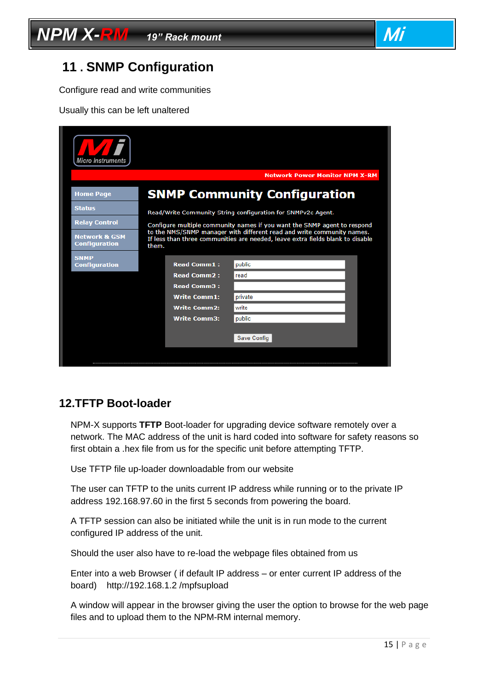



### <span id="page-14-0"></span>**11 . SNMP Configuration**

Configure read and write communities

Usually this can be left unaltered

| <b>Micro Instruments</b>                         |                                                                                                                                                                   |  |  |
|--------------------------------------------------|-------------------------------------------------------------------------------------------------------------------------------------------------------------------|--|--|
|                                                  | <b>Network Power Monitor NPM X-RM</b>                                                                                                                             |  |  |
| <b>Home Page</b>                                 | <b>SNMP Community Configuration</b>                                                                                                                               |  |  |
| <b>Status</b>                                    | Read/Write Community String configuration for SNMPv2c Agent.                                                                                                      |  |  |
| <b>Relay Control</b>                             | Configure multiple community names if you want the SNMP agent to respond                                                                                          |  |  |
| <b>Network &amp; GSM</b><br><b>Configuration</b> | to the NMS/SNMP manager with different read and write community names.<br>If less than three communities are needed, leave extra fields blank to disable<br>them. |  |  |
| <b>SNMP</b><br><b>Configuration</b>              | <b>Read Comm1:</b><br>public                                                                                                                                      |  |  |
|                                                  | <b>Read Comm2:</b><br>read                                                                                                                                        |  |  |
|                                                  | <b>Read Comm3:</b>                                                                                                                                                |  |  |
|                                                  | <b>Write Comm1:</b><br>private                                                                                                                                    |  |  |
|                                                  | <b>Write Comm2:</b><br>write                                                                                                                                      |  |  |
|                                                  | <b>Write Comm3:</b><br>public                                                                                                                                     |  |  |
|                                                  | Save Config                                                                                                                                                       |  |  |
|                                                  |                                                                                                                                                                   |  |  |

#### <span id="page-14-1"></span>**12.TFTP Boot-loader**

NPM-X supports **TFTP** Boot-loader for upgrading device software remotely over a network. The MAC address of the unit is hard coded into software for safety reasons so first obtain a .hex file from us for the specific unit before attempting TFTP.

Use TFTP file up-loader downloadable from our website

The user can TFTP to the units current IP address while running or to the private IP address 192.168.97.60 in the first 5 seconds from powering the board.

A TFTP session can also be initiated while the unit is in run mode to the current configured IP address of the unit.

Should the user also have to re-load the webpage files obtained from us

Enter into a web Browser ( if default IP address – or enter current IP address of the board) http://192.168.1.2 /mpfsupload

A window will appear in the browser giving the user the option to browse for the web page files and to upload them to the NPM-RM internal memory.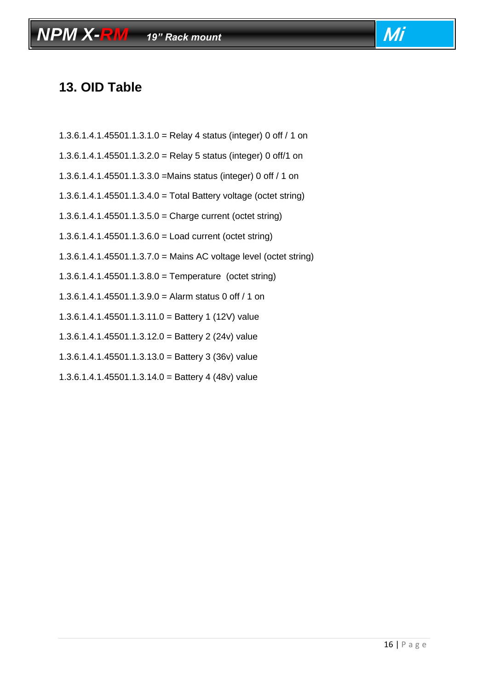# <span id="page-15-0"></span>**13. OID Table**

1.3.6.1.4.1.45501.1.3.1.0 = Relay 4 status (integer) 0 off / 1 on

*NPM X-RM <i>19" Rack mount* **Mi** 

- 1.3.6.1.4.1.45501.1.3.2.0 = Relay 5 status (integer) 0 off/1 on
- 1.3.6.1.4.1.45501.1.3.3.0 =Mains status (integer) 0 off / 1 on
- 1.3.6.1.4.1.45501.1.3.4.0 = Total Battery voltage (octet string)
- 1.3.6.1.4.1.45501.1.3.5.0 = Charge current (octet string)
- 1.3.6.1.4.1.45501.1.3.6.0 = Load current (octet string)
- 1.3.6.1.4.1.45501.1.3.7.0 = Mains AC voltage level (octet string)
- 1.3.6.1.4.1.45501.1.3.8.0 = Temperature (octet string)
- 1.3.6.1.4.1.45501.1.3.9.0 = Alarm status 0 off / 1 on
- 1.3.6.1.4.1.45501.1.3.11.0 = Battery 1 (12V) value
- 1.3.6.1.4.1.45501.1.3.12.0 = Battery 2 (24v) value
- 1.3.6.1.4.1.45501.1.3.13.0 = Battery 3 (36v) value
- 1.3.6.1.4.1.45501.1.3.14.0 = Battery 4 (48v) value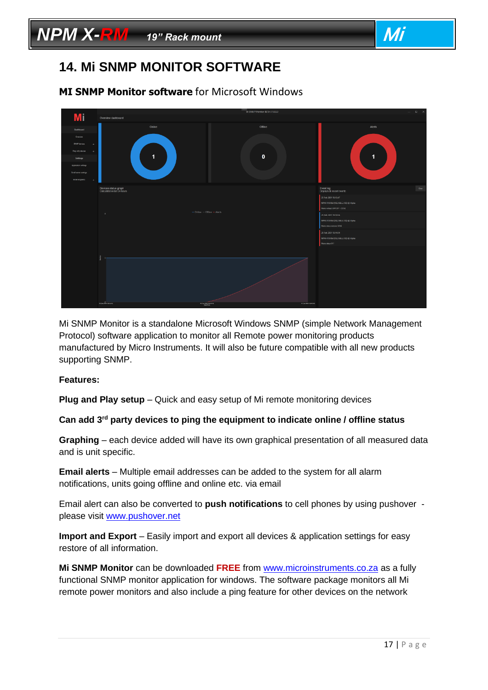### <span id="page-16-0"></span>**14. Mi SNMP MONITOR SOFTWARE**

#### **MI SNMP Monitor software** for Microsoft Windows

|                                                   |                                                     | Mi SNMP Monitor BETA V1.0.0.0     |                                                                     | $\hspace{.7cm} = \hspace{.7cm} \Box \hspace{.7cm} \times \hspace{.7cm}$ |
|---------------------------------------------------|-----------------------------------------------------|-----------------------------------|---------------------------------------------------------------------|-------------------------------------------------------------------------|
| Mi                                                | Overview dashboard                                  |                                   |                                                                     |                                                                         |
| Dashboard                                         | Online                                              | Offline                           | Alerts                                                              |                                                                         |
| Overview                                          |                                                     |                                   |                                                                     |                                                                         |
| SHAP devices<br>$\rightarrow$                     |                                                     |                                   |                                                                     |                                                                         |
| Fing only devices<br>$+$                          | <b>TILE</b>                                         | $\mathbf 0$                       |                                                                     |                                                                         |
| Settings                                          |                                                     |                                   | $\mathbf{1}$                                                        |                                                                         |
| Application settings<br><b>Enal sever attings</b> |                                                     |                                   |                                                                     |                                                                         |
| <b>Errail</b> recipients                          |                                                     |                                   |                                                                     |                                                                         |
|                                                   | Devices status graph<br>Calculated in last 24 hours |                                   | Event log<br>Displays all recent events                             | Otar                                                                    |
|                                                   |                                                     |                                   | 25 Feb 2021 19:15:47                                                |                                                                         |
|                                                   |                                                     |                                   | NPM-R10 RM (192.168.5.100) @ Alpha<br>Mains voltage LOW (DV < 2001) |                                                                         |
|                                                   | $\rightarrow$                                       | $-$ Online $-$ Offline $-$ Alerts | 25 Feb 2021 19:14:56                                                |                                                                         |
|                                                   |                                                     |                                   | NPM-R10 RM (192.168.5.100) @ Alpha                                  |                                                                         |
|                                                   |                                                     |                                   | Mains status restored [ON]                                          |                                                                         |
|                                                   |                                                     |                                   | 25 Feb 2021 19:14:34                                                |                                                                         |
|                                                   |                                                     |                                   | NPM-R10 RM (192.168.5.100) @ Alpha<br>Mains status OFF              |                                                                         |
|                                                   |                                                     |                                   |                                                                     |                                                                         |
|                                                   |                                                     |                                   |                                                                     |                                                                         |
|                                                   |                                                     |                                   |                                                                     |                                                                         |
|                                                   | 25 Feb 2001 18:34:56                                | 25 Feb 2021 18:15:26              | 25 Feb 2021 09:15:56                                                |                                                                         |
|                                                   |                                                     |                                   |                                                                     |                                                                         |

Mi SNMP Monitor is a standalone Microsoft Windows SNMP (simple Network Management Protocol) software application to monitor all Remote power monitoring products manufactured by Micro Instruments. It will also be future compatible with all new products supporting SNMP.

#### **Features:**

**Plug and Play setup** – Quick and easy setup of Mi remote monitoring devices

**Can add 3rd party devices to ping the equipment to indicate online / offline status**

**Graphing** – each device added will have its own graphical presentation of all measured data and is unit specific.

**Email alerts** – Multiple email addresses can be added to the system for all alarm notifications, units going offline and online etc. via email

Email alert can also be converted to **push notifications** to cell phones by using pushover please visit [www.pushover.net](http://www.pushover.net/)

**Import and Export** – Easily import and export all devices & application settings for easy restore of all information.

**Mi SNMP Monitor** can be downloaded **FREE** from [www.microinstruments.co.za](http://www.microinstruments.co.za/) as a fully functional SNMP monitor application for windows. The software package monitors all Mi remote power monitors and also include a ping feature for other devices on the network